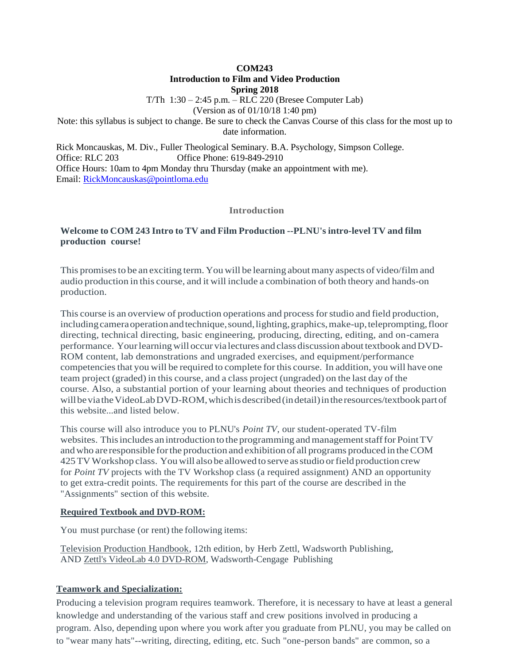**COM243**

# **Introduction to Film and Video Production**

**Spring 2018**

T/Th 1:30 – 2:45 p.m. – RLC 220 (Bresee Computer Lab)

(Version as of 01/10/18 1:40 pm)

Note: this syllabus is subject to change. Be sure to check the Canvas Course of this class for the most up to date information.

Rick Moncauskas, M. Div., Fuller Theological Seminary. B.A. Psychology, Simpson College. Office: RLC 203 Office Phone: 619-849-2910 Office Hours: 10am to 4pm Monday thru Thursday (make an appointment with me). Email: [RickMoncauskas@pointloma.edu](mailto:RickMoncauskas@pointloma.edu)

# **Introduction**

# **Welcome to COM 243 Intro to TV and Film Production --PLNU's intro-level TV and film production course!**

This promisesto be an exciting term. You will be learning aboutmany aspects of video/film and audio production in this course, and it will include a combination of both theory and hands-on production.

This course is an overview of production operations and processforstudio and field production, including camera operation and technique, sound, lighting, graphics, make-up, teleprompting, floor directing, technical directing, basic engineering, producing, directing, editing, and on-camera performance. Your learning will occur via lectures and class discussion about textbook and DVD-ROM content, lab demonstrations and ungraded exercises, and equipment/performance competenciesthat you will be required to complete forthis course. In addition, you will have one team project (graded) in this course, and a class project (ungraded) on the last day of the course. Also, a substantial portion of your learning about theories and techniques of production will be via the VideoLab DVD-ROM, which is described (in detail) in the resources/textbook part of this website...and listed below.

This course will also introduce you to PLNU's *Point TV*, our student-operated TV-film websites. This includes an introduction to the programming and management staff for Point TV andwho are responsible forthe production and exhibition of all programs produced in theCOM 425TVWorkshop class. You will also be allowed toserve asstudio orfield production crew for *Point TV* projects with the TV Workshop class (a required assignment) AND an opportunity to get extra-credit points. The requirements for this part of the course are described in the "Assignments" section of this website.

# **Required Textbook and DVD-ROM:**

You must purchase (or rent) the following items:

Television Production Handbook, 12th edition, by Herb Zettl, Wadsworth Publishing, AND Zettl's VideoLab 4.0 DVD-ROM, Wadsworth-Cengage Publishing

# **Teamwork and Specialization:**

Producing a television program requires teamwork. Therefore, it is necessary to have at least a general knowledge and understanding of the various staff and crew positions involved in producing a program. Also, depending upon where you work after you graduate from PLNU, you may be called on to "wear many hats"--writing, directing, editing, etc. Such "one-person bands" are common, so a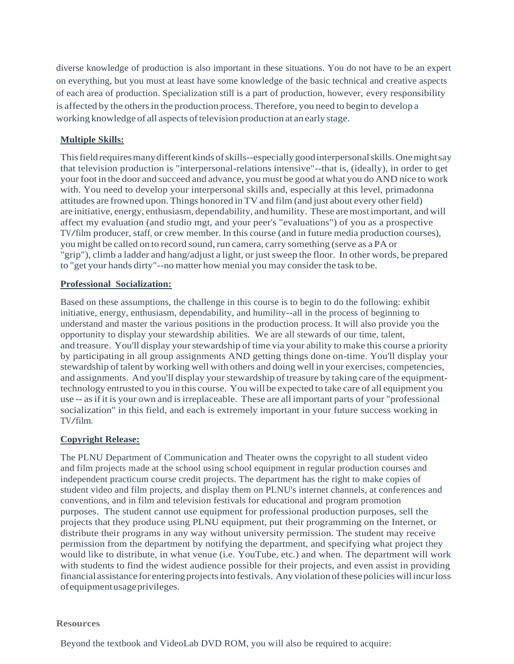diverse knowledge of production is also important in these situations. You do not have to be an expert on everything, but you must at least have some knowledge of the basic technical and creative aspects of each area of production. Specialization still is a part of production, however, every responsibility is affected by the others in the production process. Therefore, you need to begin to develop a working knowledge of all aspects of television production at an early stage.

# **Multiple Skills:**

This field requires many different kinds of skills--especially good interpersonal skills. One might say that television production is "interpersonal-relations intensive"--that is, (ideally), in order to get your foot in the door and succeed and advance, you must be good at what you do AND nice to work with. You need to develop your interpersonal skills and, especially at this level, primadonna attitudes are frowned upon. Things honored in TV and film (and just about every otherfield) are initiative, energy, enthusiasm, dependability, and humility. These aremostimportant, and will affect my evaluation (and studio mgt, and your peer's "evaluations") of you as a prospective TV/film producer, staff, or crew member. In this course (and in future media production courses), you might be called on to record sound, run camera, carry something (serve as a PA or "grip"), climb a ladder and hang/adjust a light, or justsweep the floor. In other words, be prepared to "get your hands dirty"--no matter how menial you may consider the task to be.

## **Professional Socialization:**

Based on these assumptions, the challenge in this course is to begin to do the following: exhibit initiative, energy, enthusiasm, dependability, and humility--all in the process of beginning to understand and master the various positions in the production process. It will also provide you the opportunity to display your stewardship abilities. We are all stewards of our time, talent, and treasure. You'll display yourstewardship of time via your ability to make this course a priority by participating in all group assignments AND getting things done on-time. You'll display your stewardship oftalent by working well with others and doing well in your exercises, competencies, and assignments. And you'll display your stewardship of treasure by taking care of the equipmenttechnology entrusted to you in this course. You will be expected to take care of all equipment you use -- as if it is your own and is irreplaceable. These are all important parts of your "professional" socialization" in this field, and each is extremely important in your future success working in TV/film.

# **Copyright Release:**

The PLNU Department of Communication and Theater owns the copyright to all student video and film projects made at the school using school equipment in regular production courses and independent practicum course credit projects. The department has the right to make copies of student video and film projects, and display them on PLNU's internet channels, at conferences and conventions, and in film and television festivals for educational and program promotion purposes. The student cannot use equipment for professional production purposes, sell the projects that they produce using PLNU equipment, put their programming on the Internet, or distribute their programs in any way without university permission. The student may receive permission from the department by notifying the department, and specifying what project they would like to distribute, in what venue (i.e. YouTube, etc.) and when. The department will work with students to find the widest audience possible for their projects, and even assist in providing financial assistance for entering projects into festivals. Any violation of these policies will incur loss ofequipmentusageprivileges.

## **Resources**

Beyond the textbook and VideoLab DVD ROM, you will also be required to acquire: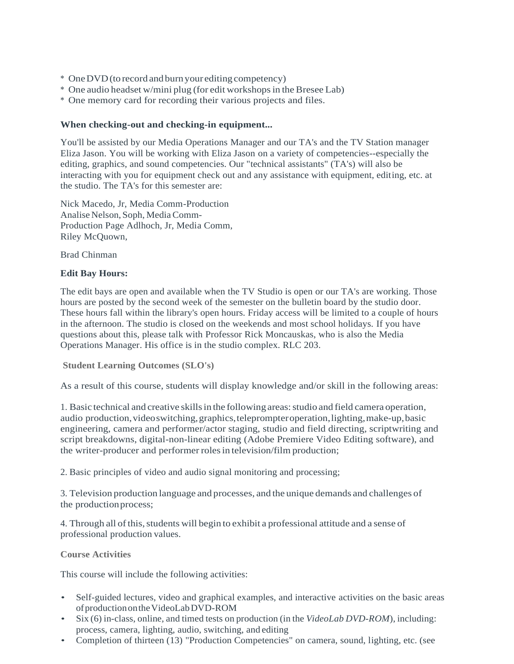- \* OneDVD(to record and burn your editing competency)
- \* One audio headset w/mini plug (for edit workshopsin theBresee Lab)
- \* One memory card for recording their various projects and files.

# **When checking-out and checking-in equipment...**

You'll be assisted by our Media Operations Manager and our TA's and the TV Station manager Eliza Jason. You will be working with Eliza Jason on a variety of competencies--especially the editing, graphics, and sound competencies. Our "technical assistants" (TA's) will also be interacting with you for equipment check out and any assistance with equipment, editing, etc. at the studio. The TA's for this semester are:

Nick Macedo, Jr, Media Comm-Production Analise Nelson, Soph, MediaComm-Production Page Adlhoch, Jr, Media Comm, Riley McQuown,

Brad Chinman

## **Edit Bay Hours:**

The edit bays are open and available when the TV Studio is open or our TA's are working. Those hours are posted by the second week of the semester on the bulletin board by the studio door. These hours fall within the library's open hours. Friday access will be limited to a couple of hours in the afternoon. The studio is closed on the weekends and most school holidays. If you have questions about this, please talk with Professor Rick Moncauskas, who is also the Media Operations Manager. His office is in the studio complex. RLC 203.

**Student Learning Outcomes (SLO's)**

As a result of this course, students will display knowledge and/or skill in the following areas:

1. Basic technical and creative skills in the following areas: studio and field camera operation, audio production, videoswitching, graphics, teleprompter operation, lighting, make-up, basic engineering, camera and performer/actor staging, studio and field directing, scriptwriting and script breakdowns, digital-non-linear editing (Adobe Premiere Video Editing software), and the writer-producer and performer rolesin television/film production;

2. Basic principles of video and audio signal monitoring and processing;

3. Television production language and processes, and the unique demands and challenges of the productionprocess;

4. Through all of this, students will begin to exhibit a professional attitude and a sense of professional production values.

**Course Activities**

This course will include the following activities:

- Self-guided lectures, video and graphical examples, and interactive activities on the basic areas ofproductionontheVideoLabDVD-ROM
- Six (6) in-class, online, and timed tests on production (in the *VideoLab DVD-ROM*), including: process, camera, lighting, audio, switching, and editing
- Completion of thirteen (13) "Production Competencies" on camera, sound, lighting, etc. (see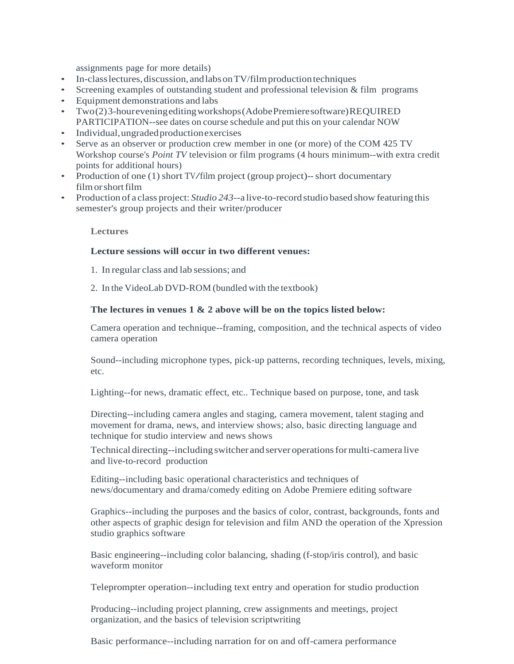assignments page for more details)

- In-class lectures, discussion, and labs on TV/film production techniques
- Screening examples of outstanding student and professional television  $\&$  film programs
- Equipment demonstrations and labs
- Two(2)3-houreveningeditingworkshops(AdobePremieresoftware)REQUIRED PARTICIPATION--see dates on course schedule and put this on your calendar NOW
- Individual, ungraded production exercises
- Serve as an observer or production crew member in one (or more) of the COM 425 TV Workshop course's *Point TV* television or film programs (4 hours minimum--with extra credit points for additional hours)
- Production of one (1) short TV/film project (group project)--short documentary film or short film
- Production of a class project: *Studio 243*--a live-to-record studio based show featuring this semester's group projects and their writer/producer

### **Lectures**

## **Lecture sessions will occur in two different venues:**

- 1. In regular class and lab sessions; and
- 2. In the VideoLab DVD-ROM (bundled with the textbook)

## **The lectures in venues 1 & 2 above will be on the topics listed below:**

Camera operation and technique--framing, composition, and the technical aspects of video camera operation

Sound--including microphone types, pick-up patterns, recording techniques, levels, mixing, etc.

Lighting--for news, dramatic effect, etc.. Technique based on purpose, tone, and task

Directing--including camera angles and staging, camera movement, talent staging and movement for drama, news, and interview shows; also, basic directing language and technique for studio interview and news shows

Technical directing--including switcher and server operationsformulti-camera live and live-to-record production

Editing--including basic operational characteristics and techniques of news/documentary and drama/comedy editing on Adobe Premiere editing software

Graphics--including the purposes and the basics of color, contrast, backgrounds, fonts and other aspects of graphic design for television and film AND the operation of the Xpression studio graphics software

Basic engineering--including color balancing, shading (f-stop/iris control), and basic waveform monitor

Teleprompter operation--including text entry and operation for studio production

Producing--including project planning, crew assignments and meetings, project organization, and the basics of television scriptwriting

Basic performance--including narration for on and off-camera performance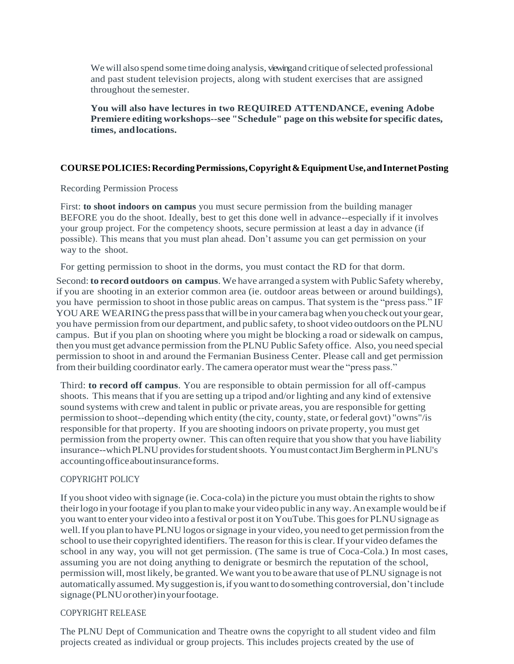We will also spend some time doing analysis, viewing and critique of selected professional and past student television projects, along with student exercises that are assigned throughout the semester.

**You will also have lectures in two REQUIRED ATTENDANCE, evening Adobe Premiere editing workshops--see "Schedule" page on this website for specific dates, times, andlocations.**

### **COURSEPOLICIES:RecordingPermissions,Copyright&EquipmentUse,andInternetPosting**

Recording Permission Process

First: **to shoot indoors on campus** you must secure permission from the building manager BEFORE you do the shoot. Ideally, best to get this done well in advance--especially if it involves your group project. For the competency shoots, secure permission at least a day in advance (if possible). This means that you must plan ahead. Don't assume you can get permission on your way to the shoot.

For getting permission to shoot in the dorms, you must contact the RD for that dorm.

Second:**to record outdoors on campus**. We have arranged a system with Public Safety whereby, if you are shooting in an exterior common area (ie. outdoor areas between or around buildings), you have permission to shoot in those public areas on campus. That system is the "press pass." IF YOU ARE WEARING the press pass that will be in your camera bag when you check out your gear, you have permission fromour department, and public safety, to shoot video outdoors on the PLNU campus. But if you plan on shooting where you might be blocking a road or sidewalk on campus, then youmust get advance permission from the PLNU Public Safety office. Also, you need special permission to shoot in and around the Fermanian Business Center. Please call and get permission from their building coordinator early. The camera operator must wearthe "press pass."

Third: **to record off campus**. You are responsible to obtain permission for all off-campus shoots. This means that if you are setting up a tripod and/or lighting and any kind of extensive sound systems with crew and talent in public or private areas, you are responsible for getting permission to shoot--depending which entity (the city, county, state, or federal govt) "owns"/is responsible for that property. If you are shooting indoors on private property, you must get permission from the property owner. This can often require that you show that you have liability insurance--whichPLNUprovidesforstudentshoots. Youmust contactJimBergherminPLNU's accountingofficeaboutinsuranceforms.

### COPYRIGHT POLICY

If you shoot video with signage (ie. Coca-cola) in the picture you must obtain the rights to show theirlogo in yourfootage if you plan tomake your video public in any way.An example would be if you want to enter your video into a festival or post it on YouTube.This goesfor PLNU signage as well.If you plan to have PLNU logos orsignage in your video, you need to get permission fromthe school to use their copyrighted identifiers. The reason for this is clear. If your video defames the school in any way, you will not get permission. (The same is true of Coca-Cola.) In most cases, assuming you are not doing anything to denigrate or besmirch the reputation of the school, permission will,most likely, be granted.We want you to be aware that use of PLNU signage is not automatically assumed.My suggestion is,ifyouwantto dosomething controversial, don'tinclude signage(PLNUorother)inyourfootage.

### COPYRIGHT RELEASE

The PLNU Dept of Communication and Theatre owns the copyright to all student video and film projects created as individual or group projects. This includes projects created by the use of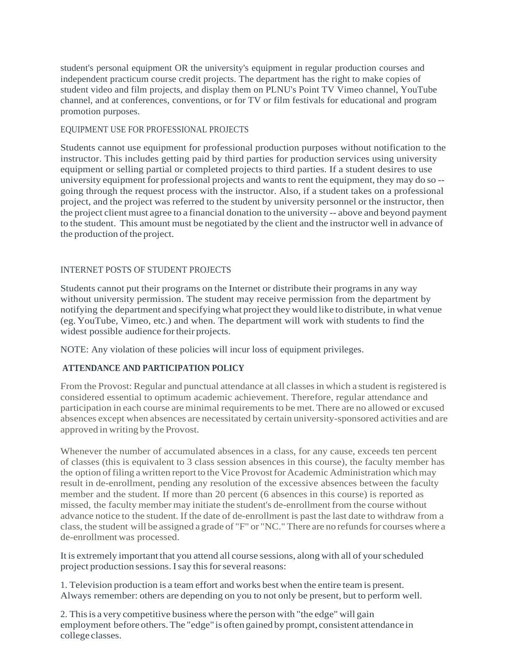student's personal equipment OR the university's equipment in regular production courses and independent practicum course credit projects. The department has the right to make copies of student video and film projects, and display them on PLNU's Point TV Vimeo channel, YouTube channel, and at conferences, conventions, or for TV or film festivals for educational and program promotion purposes.

### EQUIPMENT USE FOR PROFESSIONAL PROJECTS

Students cannot use equipment for professional production purposes without notification to the instructor. This includes getting paid by third parties for production services using university equipment or selling partial or completed projects to third parties. If a student desires to use university equipment for professional projects and wants to rent the equipment, they may do so -going through the request process with the instructor. Also, if a student takes on a professional project, and the project was referred to the student by university personnel or the instructor, then the project client must agree to a financial donation to the university -- above and beyond payment to the student. This amount must be negotiated by the client and the instructor well in advance of the production of the project.

## INTERNET POSTS OF STUDENT PROJECTS

Students cannot put their programs on the Internet or distribute their programs in any way without university permission. The student may receive permission from the department by notifying the department and specifying what project they would like to distribute, in what venue (eg. YouTube, Vimeo, etc.) and when. The department will work with students to find the widest possible audience fortheir projects.

NOTE: Any violation of these policies will incur loss of equipment privileges.

#### **ATTENDANCE AND PARTICIPATION POLICY**

From the Provost: Regular and punctual attendance at all classes in which a student is registered is considered essential to optimum academic achievement. Therefore, regular attendance and participation in each course are minimal requirements to be met. There are no allowed or excused absences except when absences are necessitated by certain university-sponsored activities and are approved in writing by the Provost.

Whenever the number of accumulated absences in a class, for any cause, exceeds ten percent of classes (this is equivalent to 3 class session absences in this course), the faculty member has the option offiling a written report to the Vice Provostfor Academic Administration which may result in de-enrollment, pending any resolution of the excessive absences between the faculty member and the student. If more than 20 percent (6 absences in this course) is reported as missed, the faculty member may initiate the student's de-enrollment from the course without advance notice to the student. If the date of de-enrollment is past the last date to withdraw from a class, the student will be assigned a grade of "F" or "NC." There are no refunds for courses where a de-enrollment was processed.

It is extremely important that you attend all course sessions, along with all of yourscheduled project production sessions. I say this for several reasons:

1. Television production is a team effort and works best when the entire team is present. Always remember: others are depending on you to not only be present, but to perform well.

2. Thisis a very competitive business where the person with "the edge" will gain employment before others.The "edge" is often gained by prompt, consistent attendance in college classes.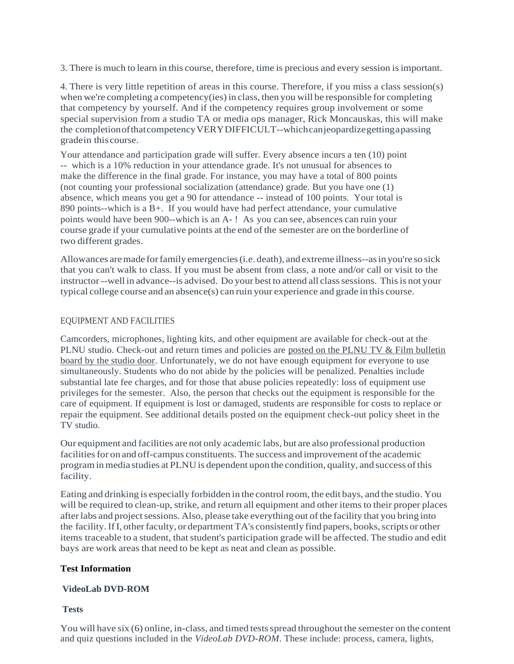3. There is much to learn in this course, therefore, time is precious and every session isimportant.

4. There is very little repetition of areas in this course. Therefore, if you miss a class session(s) when we're completing a competency(ies) in class, then you will be responsible for completing that competency by yourself. And if the competency requires group involvement or some special supervision from a studio TA or media ops manager, Rick Moncauskas, this will make the completionofthatcompetencyVERYDIFFICULT--whichcanjeopardizegettingapassing gradein this course.

Your attendance and participation grade will suffer. Every absence incurs a ten (10) point -- which is a 10% reduction in your attendance grade. It's not unusual for absences to make the difference in the final grade. For instance, you may have a total of 800 points (not counting your professional socialization (attendance) grade. But you have one (1) absence, which means you get a 90 for attendance -- instead of 100 points. Your total is 890 points--which is a B+. If you would have had perfect attendance, your cumulative points would have been 900--which is an A- ! As you can see, absences can ruin your course grade if your cumulative points at the end of the semester are on the borderline of two different grades.

Allowances aremade forfamily emergencies(i.e. death), and extreme illness--asin you're so sick that you can't walk to class. If you must be absent from class, a note and/or call or visit to the instructor--well in advance--is advised. Do your best to attend all class sessions. This is not your typical college course and an absence(s) can ruin your experience and grade in this course.

## EQUIPMENT AND FACILITIES

Camcorders, microphones, lighting kits, and other equipment are available for check-out at the PLNU studio. Check-out and return times and policies are posted on the PLNU TV & Film bulletin board by the studio door. Unfortunately, we do not have enough equipment for everyone to use simultaneously. Students who do not abide by the policies will be penalized. Penalties include substantial late fee charges, and for those that abuse policies repeatedly: loss of equipment use privileges for the semester. Also, the person that checks out the equipment is responsible for the care of equipment. If equipment is lost or damaged, students are responsible for costs to replace or repair the equipment. See additional details posted on the equipment check-out policy sheet in the TV studio.

Our equipment and facilities are not only academic labs, but are also professional production facilities for on and off-campus constituents. The success and improvement of the academic program in media studies at PLNU is dependent upon the condition, quality, and success of this facility.

Eating and drinking is especially forbidden in the control room, the edit bays, and the studio. You will be required to clean-up, strike, and return all equipment and other items to their proper places after labs and project sessions. Also, please take everything out of the facility that you bring into the facility. If I, other faculty, or department TA's consistently find papers, books, scripts or other items traceable to a student, that student's participation grade will be affected. The studio and edit bays are work areas that need to be kept as neat and clean as possible.

#### **Test Information**

#### **VideoLab DVD-ROM**

## **Tests**

You will have six (6) online, in-class, and timed tests spread throughout the semester on the content and quiz questions included in the *VideoLab DVD-ROM*. These include: process, camera, lights,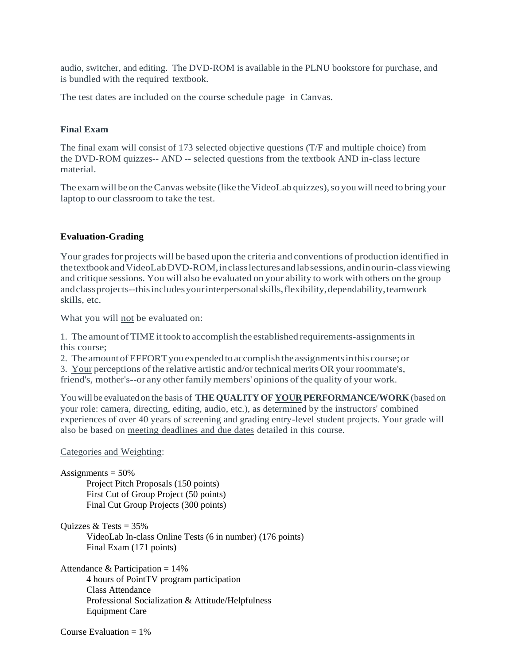audio, switcher, and editing. The DVD-ROM is available in the PLNU bookstore for purchase, and is bundled with the required textbook.

The test dates are included on the course schedule page in Canvas.

### **Final Exam**

The final exam will consist of 173 selected objective questions (T/F and multiple choice) from the DVD-ROM quizzes-- AND -- selected questions from the textbook AND in-class lecture material.

The exam will be on the Canvas website (like the VideoLab quizzes), so you will need to bring your laptop to our classroom to take the test.

#### **Evaluation-Grading**

Your grades for projects will be based upon the criteria and conventions of production identified in thetextbookandVideoLabDVD-ROM,inclasslecturesandlabsessions,andinourin-classviewing and critique sessions. You will also be evaluated on your ability to work with others on the group andclassprojects--thisincludesyourinterpersonalskills,flexibility,dependability,teamwork skills, etc.

What you will not be evaluated on:

1. The amount ofTIMEittook to accomplish the established requirements-assignmentsin this course;

2. The amountofEFFORTyou expendedtoaccomplishtheassignmentsinthis course; or

3. Your perceptions of the relative artistic and/or technical merits OR your roommate's, friend's, mother's--or any otherfamilymembers' opinions ofthe quality of your work.

You will be evaluated on the basis of **THEQUALITY OF YOUR PERFORMANCE/WORK** (based on your role: camera, directing, editing, audio, etc.), as determined by the instructors' combined experiences of over 40 years of screening and grading entry-level student projects. Your grade will also be based on meeting deadlines and due dates detailed in this course.

Categories and Weighting:

```
Assignments = 50\%Project Pitch Proposals (150 points)
First Cut of Group Project (50 points)
Final Cut Group Projects (300 points)
```

```
Quizzes & Tests = 35\%VideoLab In-class Online Tests (6 in number) (176 points)
Final Exam (171 points)
```
Attendance & Participation  $= 14\%$ 4 hours of PointTV program participation Class Attendance Professional Socialization & Attitude/Helpfulness Equipment Care

Course Evaluation  $= 1\%$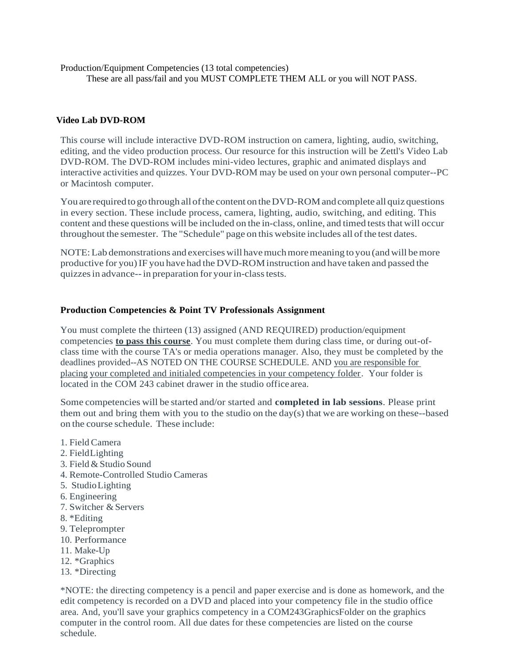Production/Equipment Competencies (13 total competencies) These are all pass/fail and you MUST COMPLETE THEM ALL or you will NOT PASS.

# **Video Lab DVD-ROM**

This course will include interactive DVD-ROM instruction on camera, lighting, audio, switching, editing, and the video production process. Our resource for this instruction will be Zettl's Video Lab DVD-ROM. The DVD-ROM includes mini-video lectures, graphic and animated displays and interactive activities and quizzes. Your DVD-ROM may be used on your own personal computer--PC or Macintosh computer.

You are required to go through all of the content on the DVD-ROM and complete all quiz questions in every section. These include process, camera, lighting, audio, switching, and editing. This content and these questions will be included on the in-class, online, and timed tests that will occur throughout the semester. The "Schedule" page on this website includes all of the test dates.

NOTE:Lab demonstrations and exercises will havemuchmoremeaning to you (andwill bemore productive for you)IF you have had the DVD-ROMinstruction and have taken and passed the quizzesin advance--in preparation for yourin-classtests.

#### **Production Competencies & Point TV Professionals Assignment**

You must complete the thirteen (13) assigned (AND REQUIRED) production/equipment competencies **to pass this course**. You must complete them during class time, or during out-ofclass time with the course TA's or media operations manager. Also, they must be completed by the deadlines provided--AS NOTED ON THE COURSE SCHEDULE. AND you are responsible for placing your completed and initialed competencies in your competency folder. Your folder is located in the COM 243 cabinet drawer in the studio office area.

Some competencies will be started and/or started and **completed in lab sessions**. Please print them out and bring them with you to the studio on the day(s) that we are working on these--based on the course schedule. These include:

- 1. Field Camera
- 2. FieldLighting
- 3. Field & Studio Sound
- 4. Remote-Controlled Studio Cameras
- 5. StudioLighting
- 6. Engineering
- 7. Switcher & Servers
- 8. \*Editing
- 9. Teleprompter
- 10. Performance
- 11. Make-Up
- 12. \*Graphics
- 13. \*Directing

\*NOTE: the directing competency is a pencil and paper exercise and is done as homework, and the edit competency is recorded on a DVD and placed into your competency file in the studio office area. And, you'll save your graphics competency in a COM243GraphicsFolder on the graphics computer in the control room. All due dates for these competencies are listed on the course schedule.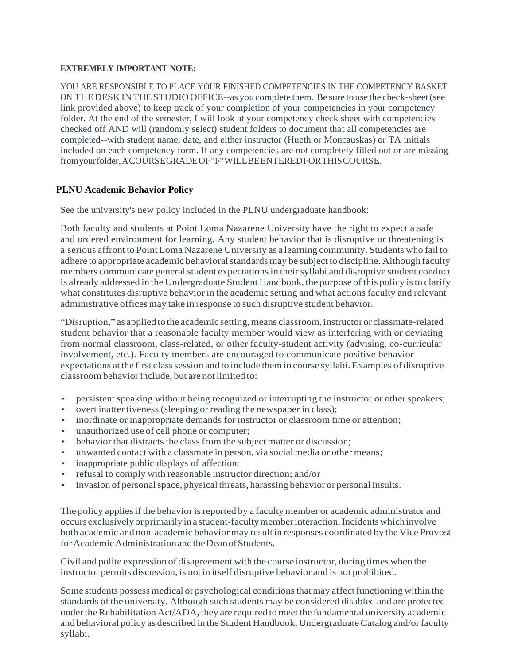## **EXTREMELY IMPORTANT NOTE:**

YOU ARE RESPONSIBLE TO PLACE YOUR FINISHED COMPETENCIES IN THE COMPETENCY BASKET ON THE DESK IN THE STUDIO OFFICE--as you complete them. Be sure to use the check-sheet(see link provided above) to keep track of your completion of your competencies in your competency folder. At the end of the semester, I will look at your competency check sheet with competencies checked off AND will (randomly select) student folders to document that all competencies are completed--with student name, date, and either instructor (Hueth or Moncauskas) or TA initials included on each competency form. If any competencies are not completely filled out or are missing fromyourfolder,ACOURSEGRADEOF"F"WILLBEENTEREDFORTHISCOURSE.

# **PLNU Academic Behavior Policy**

See the university's new policy included in the PLNU undergraduate handbook:

Both faculty and students at Point Loma Nazarene University have the right to expect a safe and ordered environment for learning. Any student behavior that is disruptive or threatening is a serious affront to Point Loma Nazarene University as a learning community. Students who fail to adhere to appropriate academic behavioral standards may be subject to discipline. Although faculty members communicate general student expectations in their syllabi and disruptive student conduct is already addressed in the Undergraduate Student Handbook, the purpose ofthis policy isto clarify what constitutes disruptive behavior in the academic setting and what actions faculty and relevant administrative offices may take in response to such disruptive student behavior.

"Disruption," as applied to the academic setting, means classroom, instructor or classmate-related student behavior that a reasonable faculty member would view as interfering with or deviating from normal classroom, class-related, or other faculty-student activity (advising, co-curricular involvement, etc.). Faculty members are encouraged to communicate positive behavior expectations at the first class session and to include them in course syllabi. Examples of disruptive classroom behavior include, but are not limited to:

- persistent speaking without being recognized or interrupting the instructor or other speakers;
- overt inattentiveness (sleeping or reading the newspaper in class);
- inordinate or inappropriate demands for instructor or classroom time or attention;
- unauthorized use of cell phone or computer;
- behavior that distracts the class from the subject matter or discussion;
- unwanted contact with a classmate in person, via social media or other means;
- inappropriate public displays of affection;
- refusal to comply with reasonable instructor direction; and/or
- invasion of personal space, physical threats, harassing behavior or personal insults.

The policy applies if the behavior is reported by a faculty member or academic administrator and occurs exclusivelyorprimarilyinastudent-facultymemberinteraction.Incidentswhichinvolve both academic and non-academic behaviormay result in responses coordinated by the Vice Provost forAcademicAdministrationandtheDeanofStudents.

Civil and polite expression of disagreement with the course instructor, during times when the instructor permits discussion, is not in itself disruptive behavior and is not prohibited.

Some students possess medical or psychological conditions that may affect functioning within the standards of the university. Although such students may be considered disabled and are protected under the Rehabilitation Act/ADA, they are required to meet the fundamental university academic and behavioral policy as described in the Student Handbook, UndergraduateCatalog and/orfaculty syllabi.